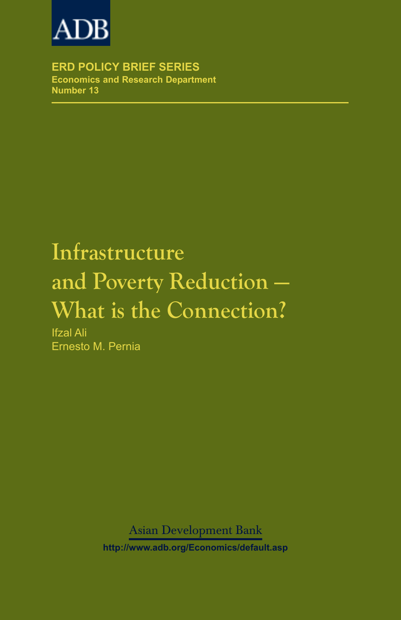

**ERD POLICY BRIEF SERIES Economics and Research Department Number 13**

# **Infrastructure** and Poverty Reduction -**What is the Connection?**

Ifzal Ali Ernesto M. Pernia

Asian Development Bank

**http://www.adb.org/Economics/default.asp**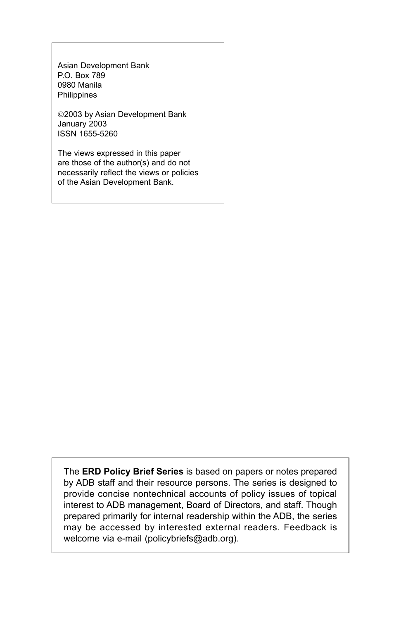Asian Development Bank P.O. Box 789 0980 Manila Philippines

2003 by Asian Development Bank January 2003 ISSN 1655-5260

The views expressed in this paper are those of the author(s) and do not necessarily reflect the views or policies of the Asian Development Bank.

The **ERD Policy Brief Series** is based on papers or notes prepared by ADB staff and their resource persons. The series is designed to provide concise nontechnical accounts of policy issues of topical interest to ADB management, Board of Directors, and staff. Though prepared primarily for internal readership within the ADB, the series may be accessed by interested external readers. Feedback is welcome via e-mail (policybriefs@adb.org).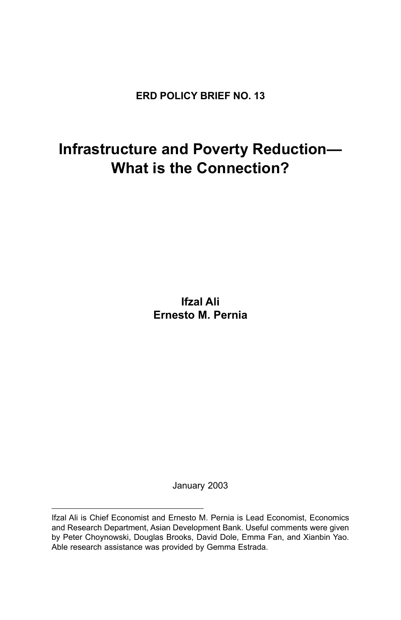**ERD POLICY BRIEF NO. 13**

## **Infrastructure and Poverty Reduction-What is the Connection?**

**Ifzal Ali Ernesto M. Pernia**

January 2003

Ifzal Ali is Chief Economist and Ernesto M. Pernia is Lead Economist, Economics and Research Department, Asian Development Bank. Useful comments were given by Peter Choynowski, Douglas Brooks, David Dole, Emma Fan, and Xianbin Yao. Able research assistance was provided by Gemma Estrada.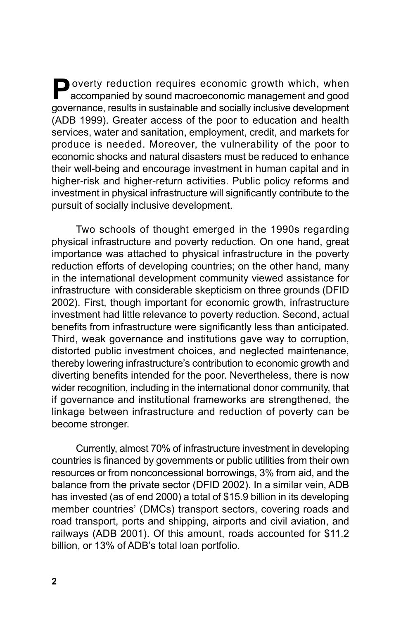**P**overty reduction requires economic growth which, when accompanied by sound macroeconomic management and good governance, results in sustainable and socially inclusive development (ADB 1999). Greater access of the poor to education and health services, water and sanitation, employment, credit, and markets for produce is needed. Moreover, the vulnerability of the poor to economic shocks and natural disasters must be reduced to enhance their well-being and encourage investment in human capital and in higher-risk and higher-return activities. Public policy reforms and investment in physical infrastructure will significantly contribute to the pursuit of socially inclusive development.

Two schools of thought emerged in the 1990s regarding physical infrastructure and poverty reduction. On one hand, great importance was attached to physical infrastructure in the poverty reduction efforts of developing countries; on the other hand, many in the international development community viewed assistance for infrastructure with considerable skepticism on three grounds (DFID 2002). First, though important for economic growth, infrastructure investment had little relevance to poverty reduction. Second, actual benefits from infrastructure were significantly less than anticipated. Third, weak governance and institutions gave way to corruption, distorted public investment choices, and neglected maintenance, thereby lowering infrastructure's contribution to economic growth and diverting benefits intended for the poor. Nevertheless, there is now wider recognition, including in the international donor community, that if governance and institutional frameworks are strengthened, the linkage between infrastructure and reduction of poverty can be become stronger.

Currently, almost 70% of infrastructure investment in developing countries is financed by governments or public utilities from their own resources or from nonconcessional borrowings, 3% from aid, and the balance from the private sector (DFID 2002). In a similar vein, ADB has invested (as of end 2000) a total of \$15.9 billion in its developing member countries' (DMCs) transport sectors, covering roads and road transport, ports and shipping, airports and civil aviation, and railways (ADB 2001). Of this amount, roads accounted for \$11.2 billion, or 13% of ADB's total loan portfolio.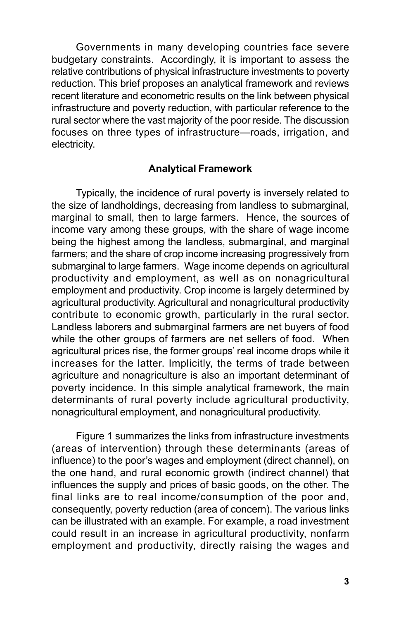Governments in many developing countries face severe budgetary constraints. Accordingly, it is important to assess the relative contributions of physical infrastructure investments to poverty reduction. This brief proposes an analytical framework and reviews recent literature and econometric results on the link between physical infrastructure and poverty reduction, with particular reference to the rural sector where the vast majority of the poor reside. The discussion focuses on three types of infrastructure-roads, irrigation, and electricity.

#### **Analytical Framework**

Typically, the incidence of rural poverty is inversely related to the size of landholdings, decreasing from landless to submarginal, marginal to small, then to large farmers. Hence, the sources of income vary among these groups, with the share of wage income being the highest among the landless, submarginal, and marginal farmers; and the share of crop income increasing progressively from submarginal to large farmers. Wage income depends on agricultural productivity and employment, as well as on nonagricultural employment and productivity. Crop income is largely determined by agricultural productivity. Agricultural and nonagricultural productivity contribute to economic growth, particularly in the rural sector. Landless laborers and submarginal farmers are net buyers of food while the other groups of farmers are net sellers of food. When agricultural prices rise, the former groups' real income drops while it increases for the latter. Implicitly, the terms of trade between agriculture and nonagriculture is also an important determinant of poverty incidence. In this simple analytical framework, the main determinants of rural poverty include agricultural productivity, nonagricultural employment, and nonagricultural productivity.

Figure 1 summarizes the links from infrastructure investments (areas of intervention) through these determinants (areas of influence) to the poor's wages and employment (direct channel), on the one hand, and rural economic growth (indirect channel) that influences the supply and prices of basic goods, on the other. The final links are to real income/consumption of the poor and, consequently, poverty reduction (area of concern). The various links can be illustrated with an example. For example, a road investment could result in an increase in agricultural productivity, nonfarm employment and productivity, directly raising the wages and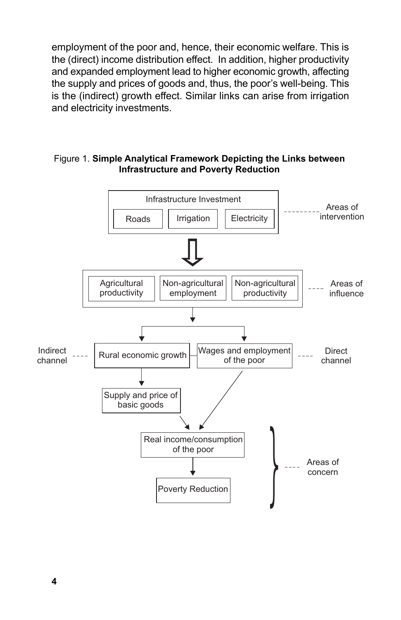employment of the poor and, hence, their economic welfare. This is the (direct) income distribution effect. In addition, higher productivity and expanded employment lead to higher economic growth, affecting the supply and prices of goods and, thus, the poor's well-being. This is the (indirect) growth effect. Similar links can arise from irrigation and electricity investments.

#### Figure 1. **Simple Analytical Framework Depicting the Links between Infrastructure and Poverty Reduction**

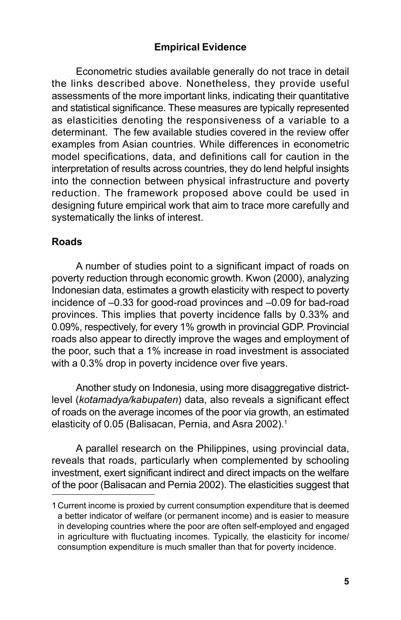#### **Empirical Evidence**

Econometric studies available generally do not trace in detail the links described above. Nonetheless, they provide useful assessments of the more important links, indicating their quantitative and statistical significance. These measures are typically represented as elasticities denoting the responsiveness of a variable to a determinant. The few available studies covered in the review offer examples from Asian countries. While differences in econometric model specifications, data, and definitions call for caution in the interpretation of results across countries, they do lend helpful insights into the connection between physical infrastructure and poverty reduction. The framework proposed above could be used in designing future empirical work that aim to trace more carefully and systematically the links of interest.

#### **Roads**

A number of studies point to a significant impact of roads on poverty reduction through economic growth. Kwon (2000), analyzing Indonesian data, estimates a growth elasticity with respect to poverty incidence of  $-0.33$  for good-road provinces and  $-0.09$  for bad-road provinces. This implies that poverty incidence falls by 0.33% and 0.09%, respectively, for every 1% growth in provincial GDP. Provincial roads also appear to directly improve the wages and employment of the poor, such that a 1% increase in road investment is associated with a 0.3% drop in poverty incidence over five years.

Another study on Indonesia, using more disaggregative districtlevel (*kotamadya/kabupaten*) data, also reveals a significant effect of roads on the average incomes of the poor via growth, an estimated elasticity of 0.05 (Balisacan, Pernia, and Asra 2002).<sup>1</sup>

A parallel research on the Philippines, using provincial data, reveals that roads, particularly when complemented by schooling investment, exert significant indirect and direct impacts on the welfare of the poor (Balisacan and Pernia 2002). The elasticities suggest that

<sup>1</sup> Current income is proxied by current consumption expenditure that is deemed a better indicator of welfare (or permanent income) and is easier to measure in developing countries where the poor are often self-employed and engaged in agriculture with fluctuating incomes. Typically, the elasticity for income/ consumption expenditure is much smaller than that for poverty incidence.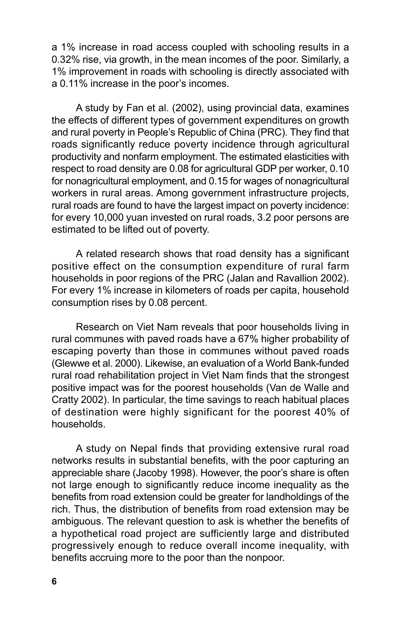a 1% increase in road access coupled with schooling results in a 0.32% rise, via growth, in the mean incomes of the poor. Similarly, a 1% improvement in roads with schooling is directly associated with a 0.11% increase in the poor's incomes.

A study by Fan et al. (2002), using provincial data, examines the effects of different types of government expenditures on growth and rural poverty in People's Republic of China (PRC). They find that roads significantly reduce poverty incidence through agricultural productivity and nonfarm employment. The estimated elasticities with respect to road density are 0.08 for agricultural GDP per worker, 0.10 for nonagricultural employment, and 0.15 for wages of nonagricultural workers in rural areas. Among government infrastructure projects, rural roads are found to have the largest impact on poverty incidence: for every 10,000 yuan invested on rural roads, 3.2 poor persons are estimated to be lifted out of poverty.

A related research shows that road density has a significant positive effect on the consumption expenditure of rural farm households in poor regions of the PRC (Jalan and Ravallion 2002). For every 1% increase in kilometers of roads per capita, household consumption rises by 0.08 percent.

Research on Viet Nam reveals that poor households living in rural communes with paved roads have a 67% higher probability of escaping poverty than those in communes without paved roads (Glewwe et al. 2000). Likewise, an evaluation of a World Bank-funded rural road rehabilitation project in Viet Nam finds that the strongest positive impact was for the poorest households (Van de Walle and Cratty 2002). In particular, the time savings to reach habitual places of destination were highly significant for the poorest 40% of households.

A study on Nepal finds that providing extensive rural road networks results in substantial benefits, with the poor capturing an appreciable share (Jacoby 1998). However, the poor's share is often not large enough to significantly reduce income inequality as the benefits from road extension could be greater for landholdings of the rich. Thus, the distribution of benefits from road extension may be ambiguous. The relevant question to ask is whether the benefits of a hypothetical road project are sufficiently large and distributed progressively enough to reduce overall income inequality, with benefits accruing more to the poor than the nonpoor.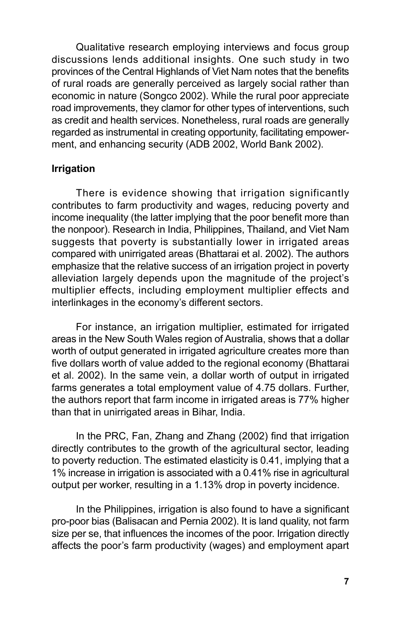Qualitative research employing interviews and focus group discussions lends additional insights. One such study in two provinces of the Central Highlands of Viet Nam notes that the benefits of rural roads are generally perceived as largely social rather than economic in nature (Songco 2002). While the rural poor appreciate road improvements, they clamor for other types of interventions, such as credit and health services. Nonetheless, rural roads are generally regarded as instrumental in creating opportunity, facilitating empowerment, and enhancing security (ADB 2002, World Bank 2002).

#### **Irrigation**

There is evidence showing that irrigation significantly contributes to farm productivity and wages, reducing poverty and income inequality (the latter implying that the poor benefit more than the nonpoor). Research in India, Philippines, Thailand, and Viet Nam suggests that poverty is substantially lower in irrigated areas compared with unirrigated areas (Bhattarai et al. 2002). The authors emphasize that the relative success of an irrigation project in poverty alleviation largely depends upon the magnitude of the project's multiplier effects, including employment multiplier effects and interlinkages in the economy's different sectors.

For instance, an irrigation multiplier, estimated for irrigated areas in the New South Wales region of Australia, shows that a dollar worth of output generated in irrigated agriculture creates more than five dollars worth of value added to the regional economy (Bhattarai et al. 2002). In the same vein, a dollar worth of output in irrigated farms generates a total employment value of 4.75 dollars. Further, the authors report that farm income in irrigated areas is 77% higher than that in unirrigated areas in Bihar, India.

In the PRC, Fan, Zhang and Zhang (2002) find that irrigation directly contributes to the growth of the agricultural sector, leading to poverty reduction. The estimated elasticity is 0.41, implying that a 1% increase in irrigation is associated with a 0.41% rise in agricultural output per worker, resulting in a 1.13% drop in poverty incidence.

In the Philippines, irrigation is also found to have a significant pro-poor bias (Balisacan and Pernia 2002). It is land quality, not farm size per se, that influences the incomes of the poor. Irrigation directly affects the poor's farm productivity (wages) and employment apart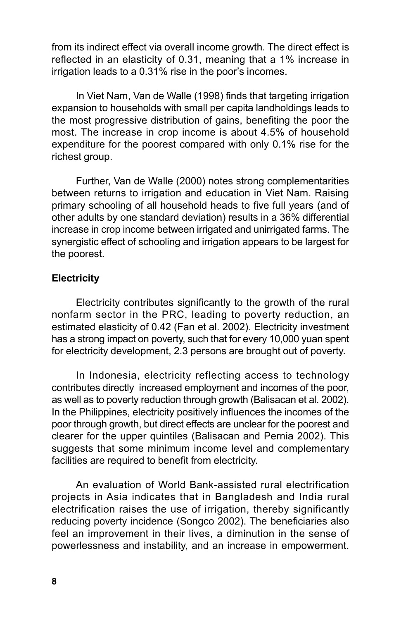from its indirect effect via overall income growth. The direct effect is reflected in an elasticity of 0.31, meaning that a 1% increase in irrigation leads to a 0.31% rise in the poor's incomes.

In Viet Nam, Van de Walle (1998) finds that targeting irrigation expansion to households with small per capita landholdings leads to the most progressive distribution of gains, benefiting the poor the most. The increase in crop income is about 4.5% of household expenditure for the poorest compared with only 0.1% rise for the richest group.

Further, Van de Walle (2000) notes strong complementarities between returns to irrigation and education in Viet Nam. Raising primary schooling of all household heads to five full years (and of other adults by one standard deviation) results in a 36% differential increase in crop income between irrigated and unirrigated farms. The synergistic effect of schooling and irrigation appears to be largest for the poorest.

#### **Electricity**

Electricity contributes significantly to the growth of the rural nonfarm sector in the PRC, leading to poverty reduction, an estimated elasticity of 0.42 (Fan et al. 2002). Electricity investment has a strong impact on poverty, such that for every 10,000 yuan spent for electricity development, 2.3 persons are brought out of poverty.

In Indonesia, electricity reflecting access to technology contributes directly increased employment and incomes of the poor, as well as to poverty reduction through growth (Balisacan et al. 2002). In the Philippines, electricity positively influences the incomes of the poor through growth, but direct effects are unclear for the poorest and clearer for the upper quintiles (Balisacan and Pernia 2002). This suggests that some minimum income level and complementary facilities are required to benefit from electricity.

An evaluation of World Bank-assisted rural electrification projects in Asia indicates that in Bangladesh and India rural electrification raises the use of irrigation, thereby significantly reducing poverty incidence (Songco 2002). The beneficiaries also feel an improvement in their lives, a diminution in the sense of powerlessness and instability, and an increase in empowerment.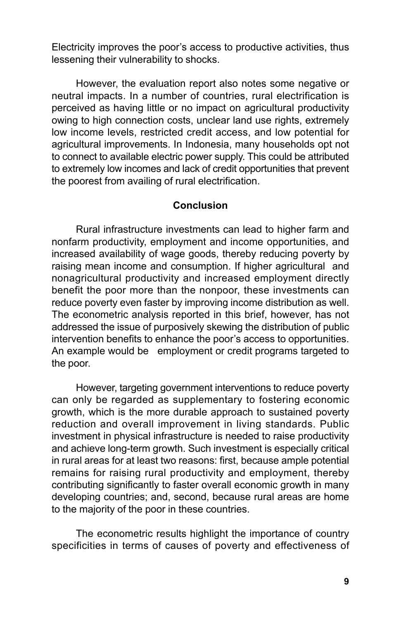Electricity improves the poor's access to productive activities, thus lessening their vulnerability to shocks.

However, the evaluation report also notes some negative or neutral impacts. In a number of countries, rural electrification is perceived as having little or no impact on agricultural productivity owing to high connection costs, unclear land use rights, extremely low income levels, restricted credit access, and low potential for agricultural improvements. In Indonesia, many households opt not to connect to available electric power supply. This could be attributed to extremely low incomes and lack of credit opportunities that prevent the poorest from availing of rural electrification.

#### **Conclusion**

Rural infrastructure investments can lead to higher farm and nonfarm productivity, employment and income opportunities, and increased availability of wage goods, thereby reducing poverty by raising mean income and consumption. If higher agricultural and nonagricultural productivity and increased employment directly benefit the poor more than the nonpoor, these investments can reduce poverty even faster by improving income distribution as well. The econometric analysis reported in this brief, however, has not addressed the issue of purposively skewing the distribution of public intervention benefits to enhance the poor's access to opportunities. An example would be employment or credit programs targeted to the poor.

However, targeting government interventions to reduce poverty can only be regarded as supplementary to fostering economic growth, which is the more durable approach to sustained poverty reduction and overall improvement in living standards. Public investment in physical infrastructure is needed to raise productivity and achieve long-term growth. Such investment is especially critical in rural areas for at least two reasons: first, because ample potential remains for raising rural productivity and employment, thereby contributing significantly to faster overall economic growth in many developing countries; and, second, because rural areas are home to the majority of the poor in these countries.

The econometric results highlight the importance of country specificities in terms of causes of poverty and effectiveness of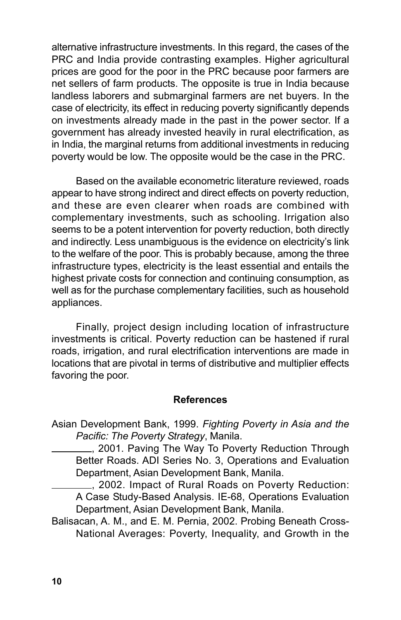alternative infrastructure investments. In this regard, the cases of the PRC and India provide contrasting examples. Higher agricultural prices are good for the poor in the PRC because poor farmers are net sellers of farm products. The opposite is true in India because landless laborers and submarginal farmers are net buyers. In the case of electricity, its effect in reducing poverty significantly depends on investments already made in the past in the power sector. If a government has already invested heavily in rural electrification, as in India, the marginal returns from additional investments in reducing poverty would be low. The opposite would be the case in the PRC.

Based on the available econometric literature reviewed, roads appear to have strong indirect and direct effects on poverty reduction, and these are even clearer when roads are combined with complementary investments, such as schooling. Irrigation also seems to be a potent intervention for poverty reduction, both directly and indirectly. Less unambiguous is the evidence on electricity's link to the welfare of the poor. This is probably because, among the three infrastructure types, electricity is the least essential and entails the highest private costs for connection and continuing consumption, as well as for the purchase complementary facilities, such as household appliances.

Finally, project design including location of infrastructure investments is critical. Poverty reduction can be hastened if rural roads, irrigation, and rural electrification interventions are made in locations that are pivotal in terms of distributive and multiplier effects favoring the poor.

#### **References**

Asian Development Bank, 1999. *Fighting Poverty in Asia and the Pacific: The Poverty Strategy*, Manila.

, 2001. Paving The Way To Poverty Reduction Through Better Roads. ADI Series No. 3, Operations and Evaluation Department, Asian Development Bank, Manila.

, 2002. Impact of Rural Roads on Poverty Reduction: A Case Study-Based Analysis. IE-68, Operations Evaluation Department, Asian Development Bank, Manila.

Balisacan, A. M., and E. M. Pernia, 2002. Probing Beneath Cross-National Averages: Poverty, Inequality, and Growth in the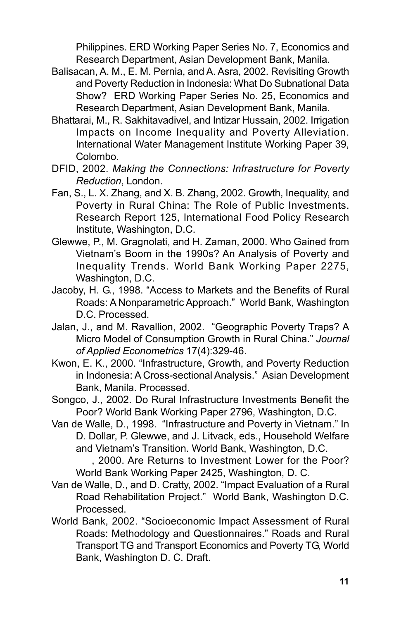Philippines. ERD Working Paper Series No. 7, Economics and Research Department, Asian Development Bank, Manila.

- Balisacan, A. M., E. M. Pernia, and A. Asra, 2002. Revisiting Growth and Poverty Reduction in Indonesia: What Do Subnational Data Show? ERD Working Paper Series No. 25, Economics and Research Department, Asian Development Bank, Manila.
- Bhattarai, M., R. Sakhitavadivel, and Intizar Hussain, 2002. Irrigation Impacts on Income Inequality and Poverty Alleviation. International Water Management Institute Working Paper 39, Colombo.
- DFID, 2002. *Making the Connections: Infrastructure for Poverty Reduction*, London.
- Fan, S., L. X. Zhang, and X. B. Zhang, 2002. Growth, Inequality, and Poverty in Rural China: The Role of Public Investments. Research Report 125, International Food Policy Research Institute, Washington, D.C.
- Glewwe, P., M. Gragnolati, and H. Zaman, 2000. Who Gained from Vietnamís Boom in the 1990s? An Analysis of Poverty and Inequality Trends. World Bank Working Paper 2275, Washington, D.C.
- Jacoby, H. G., 1998. "Access to Markets and the Benefits of Rural Roads: A Nonparametric Approach." World Bank, Washington D.C. Processed.
- Jalan, J., and M. Ravallion, 2002. "Geographic Poverty Traps? A Micro Model of Consumption Growth in Rural China." Journal *of Applied Econometrics* 17(4):329-46.
- Kwon, E. K., 2000. "Infrastructure, Growth, and Poverty Reduction in Indonesia: A Cross-sectional Analysis." Asian Development Bank, Manila. Processed.
- Songco, J., 2002. Do Rural Infrastructure Investments Benefit the Poor? World Bank Working Paper 2796, Washington, D.C.
- Van de Walle, D., 1998. "Infrastructure and Poverty in Vietnam." In D. Dollar, P. Glewwe, and J. Litvack, eds., Household Welfare and Vietnamís Transition. World Bank, Washington, D.C.
	- <sub>,</sub> 2000. Are Returns to Investment Lower for the Poor? World Bank Working Paper 2425, Washington, D. C.
- Van de Walle, D., and D. Cratty, 2002. "Impact Evaluation of a Rural Road Rehabilitation Project." World Bank, Washington D.C. Processed.
- World Bank, 2002. "Socioeconomic Impact Assessment of Rural Roads: Methodology and Questionnaires." Roads and Rural Transport TG and Transport Economics and Poverty TG, World Bank, Washington D. C. Draft.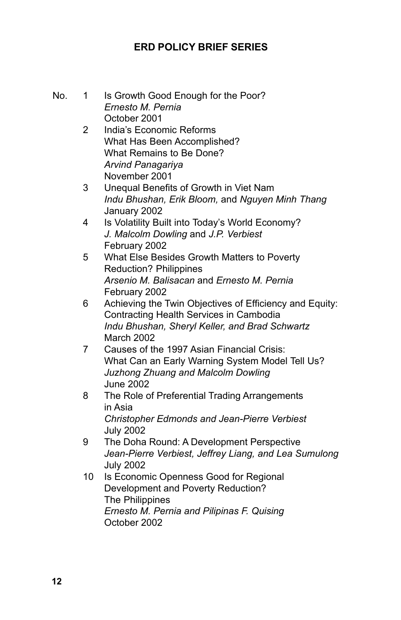### **ERD POLICY BRIEF SERIES**

| No. | 1  | Is Growth Good Enough for the Poor?<br>Ernesto M. Pernia                                            |
|-----|----|-----------------------------------------------------------------------------------------------------|
|     | 2  | October 2001<br>India's Economic Reforms<br>What Has Been Accomplished?<br>What Remains to Be Done? |
|     |    | Arvind Panagariya<br>November 2001                                                                  |
|     | 3  | Unequal Benefits of Growth in Viet Nam                                                              |
|     |    | Indu Bhushan, Erik Bloom, and Nguyen Minh Thang<br>January 2002                                     |
|     | 4  | Is Volatility Built into Today's World Economy?                                                     |
|     |    | J. Malcolm Dowling and J.P. Verbiest<br>February 2002                                               |
|     | 5  | What Else Besides Growth Matters to Poverty                                                         |
|     |    | <b>Reduction? Philippines</b>                                                                       |
|     |    | Arsenio M. Balisacan and Ernesto M. Pernia                                                          |
|     | 6  | February 2002                                                                                       |
|     |    | Achieving the Twin Objectives of Efficiency and Equity:<br>Contracting Health Services in Cambodia  |
|     |    | Indu Bhushan, Sheryl Keller, and Brad Schwartz                                                      |
|     | 7  | March 2002<br>Causes of the 1997 Asian Financial Crisis:                                            |
|     |    | What Can an Early Warning System Model Tell Us?                                                     |
|     |    | Juzhong Zhuang and Malcolm Dowling                                                                  |
|     | 8  | June 2002<br>The Role of Preferential Trading Arrangements                                          |
|     |    | in Asia                                                                                             |
|     |    | <b>Christopher Edmonds and Jean-Pierre Verbiest</b>                                                 |
|     | 9  | <b>July 2002</b><br>The Doha Round: A Development Perspective                                       |
|     |    | Jean-Pierre Verbiest, Jeffrey Liang, and Lea Sumulong                                               |
|     |    | <b>July 2002</b>                                                                                    |
|     | 10 | Is Economic Openness Good for Regional                                                              |
|     |    | Development and Poverty Reduction?                                                                  |
|     |    | The Philippines                                                                                     |
|     |    | Ernesto M. Pernia and Pilipinas F. Quising<br>October 2002                                          |
|     |    |                                                                                                     |